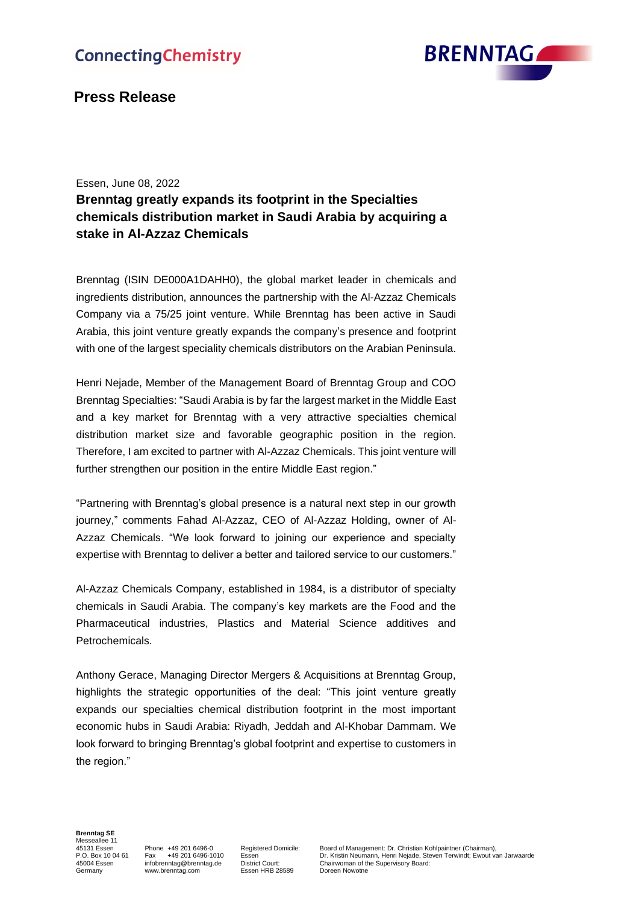# **ConnectingChemistry**



## **Press Release**

Essen, June 08, 2022

# **Brenntag greatly expands its footprint in the Specialties chemicals distribution market in Saudi Arabia by acquiring a stake in Al-Azzaz Chemicals**

Brenntag (ISIN DE000A1DAHH0), the global market leader in chemicals and ingredients distribution, announces the partnership with the Al-Azzaz Chemicals Company via a 75/25 joint venture. While Brenntag has been active in Saudi Arabia, this joint venture greatly expands the company's presence and footprint with one of the largest speciality chemicals distributors on the Arabian Peninsula.

Henri Nejade, Member of the Management Board of Brenntag Group and COO Brenntag Specialties: "Saudi Arabia is by far the largest market in the Middle East and a key market for Brenntag with a very attractive specialties chemical distribution market size and favorable geographic position in the region. Therefore, I am excited to partner with Al-Azzaz Chemicals. This joint venture will further strengthen our position in the entire Middle East region."

"Partnering with Brenntag's global presence is a natural next step in our growth journey," comments Fahad Al-Azzaz, CEO of Al-Azzaz Holding, owner of Al-Azzaz Chemicals. "We look forward to joining our experience and specialty expertise with Brenntag to deliver a better and tailored service to our customers."

Al-Azzaz Chemicals Company, established in 1984, is a distributor of specialty chemicals in Saudi Arabia. The company's key markets are the Food and the Pharmaceutical industries, Plastics and Material Science additives and Petrochemicals.

Anthony Gerace, Managing Director Mergers & Acquisitions at Brenntag Group, highlights the strategic opportunities of the deal: "This joint venture greatly expands our specialties chemical distribution footprint in the most important economic hubs in Saudi Arabia: Riyadh, Jeddah and Al-Khobar Dammam. We look forward to bringing Brenntag's global footprint and expertise to customers in the region."

**Brenntag SE** Messeallee 11

Essen HRB 28589